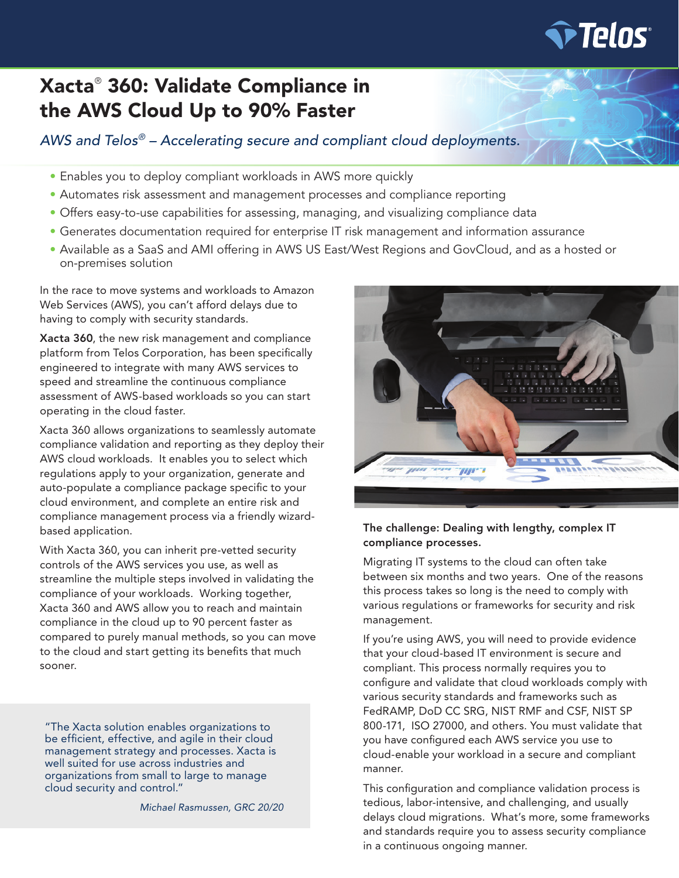

# Xacta® 360: Validate Compliance in the AWS Cloud Up to 90% Faster

*AWS and Telos® – Accelerating secure and compliant cloud deployments.* 

- Enables you to deploy compliant workloads in AWS more quickly
- Automates risk assessment and management processes and compliance reporting
- Offers easy-to-use capabilities for assessing, managing, and visualizing compliance data
- Generates documentation required for enterprise IT risk management and information assurance
- Available as a SaaS and AMI offering in AWS US East/West Regions and GovCloud, and as a hosted or on-premises solution

In the race to move systems and workloads to Amazon Web Services (AWS), you can't afford delays due to having to comply with security standards.

Xacta 360, the new risk management and compliance platform from Telos Corporation, has been specifically engineered to integrate with many AWS services to speed and streamline the continuous compliance assessment of AWS-based workloads so you can start operating in the cloud faster.

Xacta 360 allows organizations to seamlessly automate compliance validation and reporting as they deploy their AWS cloud workloads. It enables you to select which regulations apply to your organization, generate and auto-populate a compliance package specific to your cloud environment, and complete an entire risk and compliance management process via a friendly wizardbased application.

With Xacta 360, you can inherit pre-vetted security controls of the AWS services you use, as well as streamline the multiple steps involved in validating the compliance of your workloads. Working together, Xacta 360 and AWS allow you to reach and maintain compliance in the cloud up to 90 percent faster as compared to purely manual methods, so you can move to the cloud and start getting its benefits that much sooner.

"The Xacta solution enables organizations to be efficient, effective, and agile in their cloud management strategy and processes. Xacta is well suited for use across industries and organizations from small to large to manage cloud security and control."

*Michael Rasmussen, GRC 20/20*



### The challenge: Dealing with lengthy, complex IT compliance processes.

Migrating IT systems to the cloud can often take between six months and two years. One of the reasons this process takes so long is the need to comply with various regulations or frameworks for security and risk management.

If you're using AWS, you will need to provide evidence that your cloud-based IT environment is secure and compliant. This process normally requires you to configure and validate that cloud workloads comply with various security standards and frameworks such as FedRAMP, DoD CC SRG, NIST RMF and CSF, NIST SP 800-171, ISO 27000, and others. You must validate that you have configured each AWS service you use to cloud-enable your workload in a secure and compliant manner.

This configuration and compliance validation process is tedious, labor-intensive, and challenging, and usually delays cloud migrations. What's more, some frameworks and standards require you to assess security compliance in a continuous ongoing manner.